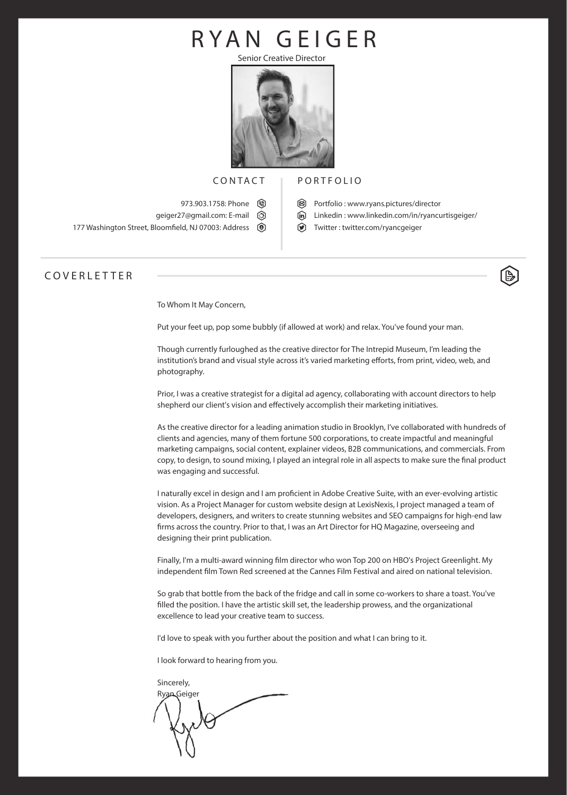## **RYAN GEIGER**

Senior Creative Director



#### **CONTACT**

973.903.1758: Phone  $\circledR$ geiger27@gmail.com: **E-mail** **PORTFOLIO**

- **Portfolio : www.ryans.pictures/director**
	- **Linkedin : www.linkedin.com/in/ryancurtisgeiger/**
	- **Twitter** : twitter.com/ryancgeiger

#### **COVERLETTER**

To Whom It May Concern,

177 Washington Street, Bloomfeld, NJ 07003: **Address**

Put your feet up, pop some bubbly (if allowed at work) and relax. You've found your man.

Though currently furloughed as the creative director for The Intrepid Museum, I'm leading the institution's brand and visual style across it's varied marketing eforts, from print, video, web, and photography.

Prior, I was a creative strategist for a digital ad agency, collaborating with account directors to help shepherd our client's vision and efectively accomplish their marketing initiatives.

As the creative director for a leading animation studio in Brooklyn, I've collaborated with hundreds of clients and agencies, many of them fortune 500 corporations, to create impactful and meaningful marketing campaigns, social content, explainer videos, B2B communications, and commercials. From copy, to design, to sound mixing, I played an integral role in all aspects to make sure the fnal product was engaging and successful.

I naturally excel in design and I am profcient in Adobe Creative Suite, with an ever-evolving artistic vision. As a Project Manager for custom website design at LexisNexis, I project managed a team of developers, designers, and writers to create stunning websites and SEO campaigns for high-end law frms across the country. Prior to that, I was an Art Director for HQ Magazine, overseeing and designing their print publication.

Finally, I'm a multi-award winning flm director who won Top 200 on HBO's Project Greenlight. My independent flm Town Red screened at the Cannes Film Festival and aired on national television.

So grab that bottle from the back of the fridge and call in some co-workers to share a toast. You've flled the position. I have the artistic skill set, the leadership prowess, and the organizational excellence to lead your creative team to success.

I'd love to speak with you further about the position and what I can bring to it.

I look forward to hearing from you.

Sincerely, Ryan Geiger